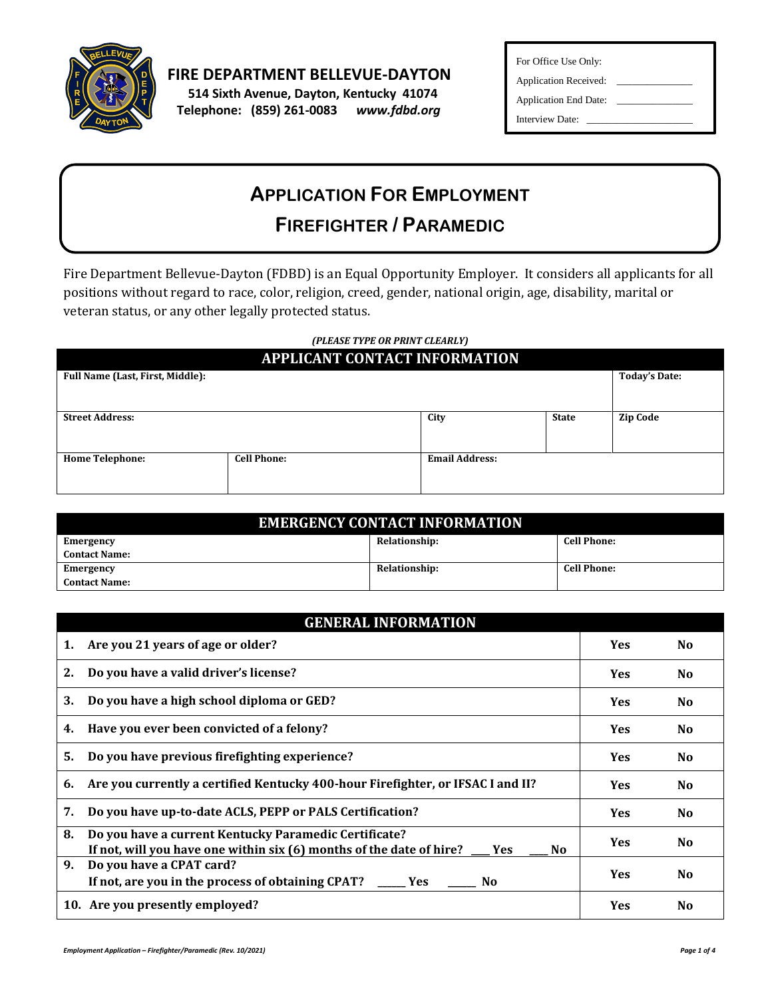

**FIRE DEPARTMENT BELLEVUE-DAYTON**

 **514 Sixth Avenue, Dayton, Kentucky 41074 Telephone: (859) 261-0083** *www.fdbd.org* For Office Use Only:

Application Received: Application End Date:

Interview Date:

# **APPLICATION FOR EMPLOYMENT**

# **FIREFIGHTER / PARAMEDIC**

Fire Department Bellevue-Dayton (FDBD) is an Equal Opportunity Employer. It considers all applicants for all positions without regard to race, color, religion, creed, gender, national origin, age, disability, marital or veteran status, or any other legally protected status.

#### *(PLEASE TYPE OR PRINT CLEARLY)*

| <b>APPLICANT CONTACT INFORMATION</b> |                    |                       |              |                      |
|--------------------------------------|--------------------|-----------------------|--------------|----------------------|
| Full Name (Last, First, Middle):     |                    |                       |              | <b>Today's Date:</b> |
| <b>Street Address:</b>               |                    | City                  | <b>State</b> | <b>Zip Code</b>      |
| <b>Home Telephone:</b>               | <b>Cell Phone:</b> | <b>Email Address:</b> |              |                      |

| <b>EMERGENCY CONTACT INFORMATION</b> |                      |                    |  |
|--------------------------------------|----------------------|--------------------|--|
| <b>Emergency</b>                     | Relationship:        | <b>Cell Phone:</b> |  |
| <b>Contact Name:</b>                 |                      |                    |  |
| Emergency                            | <b>Relationship:</b> | <b>Cell Phone:</b> |  |
| <b>Contact Name:</b>                 |                      |                    |  |

| <b>GENERAL INFORMATION</b>                                                                                                                           |            |                |  |
|------------------------------------------------------------------------------------------------------------------------------------------------------|------------|----------------|--|
| Are you 21 years of age or older?<br>1.                                                                                                              | <b>Yes</b> | N <sub>0</sub> |  |
| Do you have a valid driver's license?<br>2.                                                                                                          | <b>Yes</b> | N <sub>0</sub> |  |
| Do you have a high school diploma or GED?<br>3.                                                                                                      | <b>Yes</b> | No.            |  |
| Have you ever been convicted of a felony?<br>4.                                                                                                      | <b>Yes</b> | No.            |  |
| Do you have previous firefighting experience?<br>5.                                                                                                  | <b>Yes</b> | No.            |  |
| Are you currently a certified Kentucky 400-hour Firefighter, or IFSAC I and II?<br>6.                                                                | <b>Yes</b> | N <sub>0</sub> |  |
| Do you have up-to-date ACLS, PEPP or PALS Certification?<br>7.                                                                                       | <b>Yes</b> | No.            |  |
| 8.<br>Do you have a current Kentucky Paramedic Certificate?<br>If not, will you have one within six $(6)$ months of the date of hire? ___ Yes<br>No. | <b>Yes</b> | No.            |  |
| 9.<br>Do you have a CPAT card?<br>If not, are you in the process of obtaining CPAT? _______ Yes<br>No.                                               | <b>Yes</b> | N <sub>0</sub> |  |
| 10. Are you presently employed?                                                                                                                      | <b>Yes</b> | N <sub>0</sub> |  |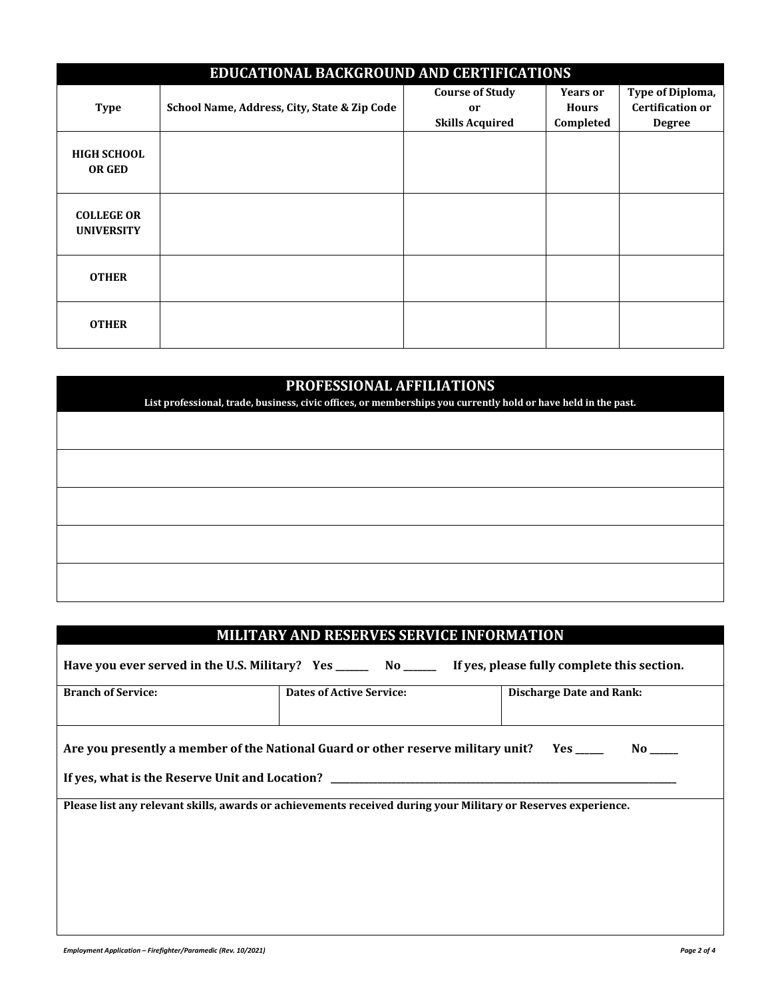| EDUCATIONAL BACKGROUND AND CERTIFICATIONS |                                              |                        |                 |                         |
|-------------------------------------------|----------------------------------------------|------------------------|-----------------|-------------------------|
|                                           |                                              | <b>Course of Study</b> | <b>Years or</b> | Type of Diploma,        |
| <b>Type</b>                               | School Name, Address, City, State & Zip Code | or                     | <b>Hours</b>    | <b>Certification or</b> |
|                                           |                                              | <b>Skills Acquired</b> | Completed       | <b>Degree</b>           |
| <b>HIGH SCHOOL</b><br><b>OR GED</b>       |                                              |                        |                 |                         |
| <b>COLLEGE OR</b><br><b>UNIVERSITY</b>    |                                              |                        |                 |                         |
| <b>OTHER</b>                              |                                              |                        |                 |                         |
| <b>OTHER</b>                              |                                              |                        |                 |                         |

### **PROFESSIONAL AFFILIATIONS**

**List professional, trade, business, civic offices, or memberships you currently hold or have held in the past.**

## **MILITARY AND RESERVES SERVICE INFORMATION**

|                                                                                                               | Have you ever served in the U.S. Military? Yes _______ No ______ If yes, please fully complete this section. |                                 |  |  |
|---------------------------------------------------------------------------------------------------------------|--------------------------------------------------------------------------------------------------------------|---------------------------------|--|--|
| <b>Branch of Service:</b>                                                                                     | <b>Dates of Active Service:</b>                                                                              | <b>Discharge Date and Rank:</b> |  |  |
|                                                                                                               |                                                                                                              |                                 |  |  |
|                                                                                                               | Are you presently a member of the National Guard or other reserve military unit? Yes ____                    |                                 |  |  |
|                                                                                                               |                                                                                                              |                                 |  |  |
| Please list any relevant skills, awards or achievements received during your Military or Reserves experience. |                                                                                                              |                                 |  |  |
|                                                                                                               |                                                                                                              |                                 |  |  |
|                                                                                                               |                                                                                                              |                                 |  |  |
|                                                                                                               |                                                                                                              |                                 |  |  |
|                                                                                                               |                                                                                                              |                                 |  |  |
|                                                                                                               |                                                                                                              |                                 |  |  |
|                                                                                                               |                                                                                                              |                                 |  |  |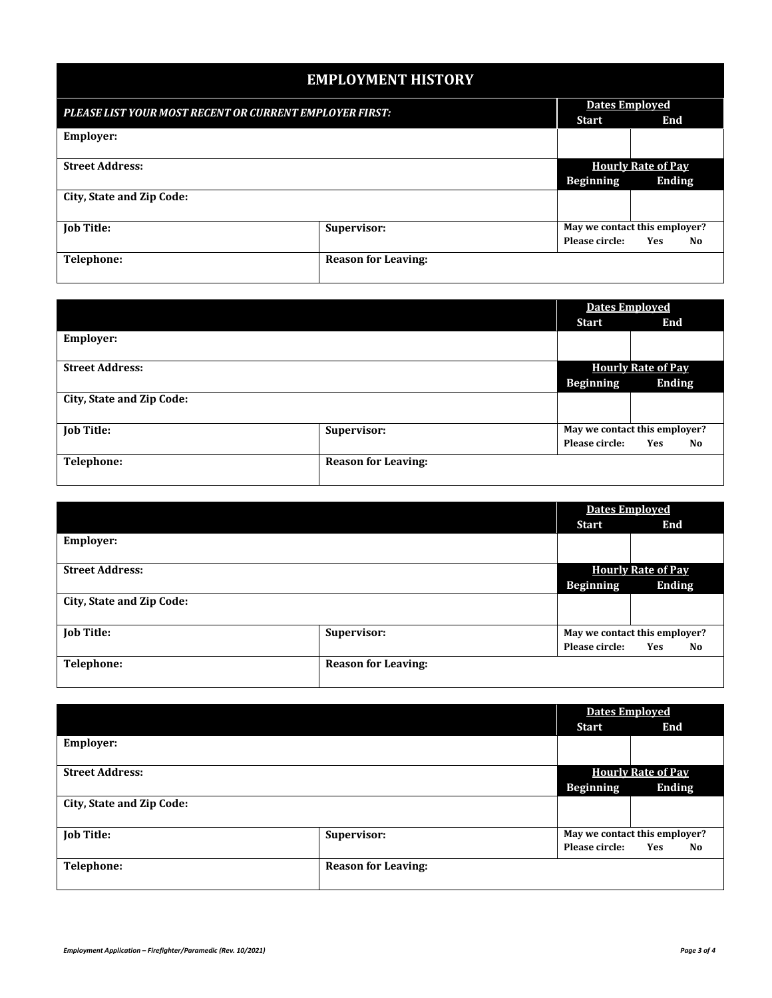## **EMPLOYMENT HISTORY**

|                                  |                                                         | <b>Dates Employed</b>     |                               |
|----------------------------------|---------------------------------------------------------|---------------------------|-------------------------------|
|                                  | PLEASE LIST YOUR MOST RECENT OR CURRENT EMPLOYER FIRST: |                           | End                           |
| <b>Employer:</b>                 |                                                         |                           |                               |
|                                  |                                                         |                           |                               |
| <b>Street Address:</b>           |                                                         | <b>Hourly Rate of Pay</b> |                               |
|                                  |                                                         | <b>Beginning</b>          | <b>Ending</b>                 |
| City, State and Zip Code:        |                                                         |                           |                               |
| <b>Job Title:</b><br>Supervisor: |                                                         |                           | May we contact this employer? |
|                                  |                                                         | Please circle:            | <b>Yes</b><br>No              |
| Telephone:                       | <b>Reason for Leaving:</b>                              |                           |                               |

|                           |                            | <b>Dates Employed</b>         |                           |
|---------------------------|----------------------------|-------------------------------|---------------------------|
|                           |                            | <b>Start</b>                  | End                       |
| <b>Employer:</b>          |                            |                               |                           |
|                           |                            |                               |                           |
| <b>Street Address:</b>    |                            |                               | <b>Hourly Rate of Pay</b> |
|                           |                            | <b>Beginning</b>              | <b>Ending</b>             |
| City, State and Zip Code: |                            |                               |                           |
|                           |                            |                               |                           |
| <b>Job Title:</b>         | Supervisor:                | May we contact this employer? |                           |
|                           |                            | Please circle:                | Yes<br>No.                |
| Telephone:                | <b>Reason for Leaving:</b> |                               |                           |
|                           |                            |                               |                           |

|                           |                            | <b>Dates Employed</b>         |                           |
|---------------------------|----------------------------|-------------------------------|---------------------------|
|                           |                            | <b>Start</b>                  | End                       |
| <b>Employer:</b>          |                            |                               |                           |
|                           |                            |                               |                           |
| <b>Street Address:</b>    |                            |                               | <b>Hourly Rate of Pay</b> |
|                           |                            | <b>Beginning</b>              | <b>Ending</b>             |
| City, State and Zip Code: |                            |                               |                           |
|                           |                            |                               |                           |
| <b>Job Title:</b>         | Supervisor:                | May we contact this employer? |                           |
|                           |                            | Please circle:                | <b>Yes</b><br>No.         |
| Telephone:                | <b>Reason for Leaving:</b> |                               |                           |
|                           |                            |                               |                           |

|                           |                            | <b>Dates Employed</b> |                               |
|---------------------------|----------------------------|-----------------------|-------------------------------|
|                           |                            | <b>Start</b>          | End                           |
| Employer:                 |                            |                       |                               |
| <b>Street Address:</b>    |                            |                       | <b>Hourly Rate of Pay</b>     |
|                           |                            | <b>Beginning</b>      | <b>Ending</b>                 |
| City, State and Zip Code: |                            |                       |                               |
| <b>Job Title:</b>         | Supervisor:                |                       | May we contact this employer? |
|                           |                            | Please circle:        | <b>Yes</b><br><b>No</b>       |
| Telephone:                | <b>Reason for Leaving:</b> |                       |                               |